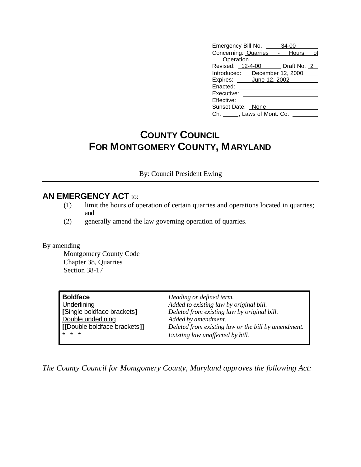| Emergency Bill No. ___        | 34-00 |
|-------------------------------|-------|
| Concerning: Quarries - Hours  | οf    |
| Operation                     |       |
| Revised: 12-4-00 Draft No. 2  |       |
| Introduced: December 12, 2000 |       |
| Expires: June 12, 2002        |       |
| Enacted:                      |       |
| Executive:                    |       |
| Effective:                    |       |
| Sunset Date: None             |       |
| Ch. ______, Laws of Mont. Co. |       |

## **COUNTY COUNCIL FOR MONTGOMERY COUNTY, MARYLAND**

By: Council President Ewing

## **AN EMERGENCY ACT** to:

- (1) limit the hours of operation of certain quarries and operations located in quarries; and
- (2) generally amend the law governing operation of quarries.

By amending

Montgomery County Code Chapter 38, Quarries Section 38-17

| <b>Boldface</b>              | Heading or defined term.                            |
|------------------------------|-----------------------------------------------------|
| Underlining                  | Added to existing law by original bill.             |
| [Single boldface brackets]   | Deleted from existing law by original bill.         |
| Double underlining           | Added by amendment.                                 |
| [[Double boldface brackets]] | Deleted from existing law or the bill by amendment. |
| $* * *$                      | Existing law unaffected by bill.                    |

*The County Council for Montgomery County, Maryland approves the following Act:*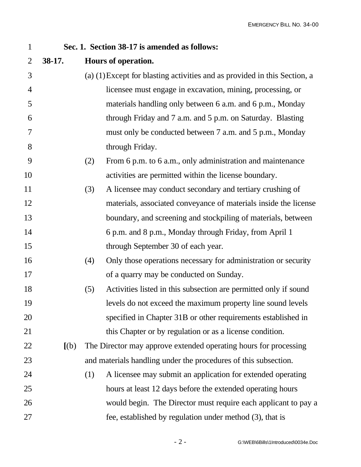| $\mathbf{1}$   |          | Sec. 1. Section 38-17 is amended as follows:                                |
|----------------|----------|-----------------------------------------------------------------------------|
| $\overline{2}$ | $38-17.$ | Hours of operation.                                                         |
| 3              |          | $(a)$ (1) Except for blasting activities and as provided in this Section, a |
| $\overline{4}$ |          | licensee must engage in excavation, mining, processing, or                  |
| 5              |          | materials handling only between 6 a.m. and 6 p.m., Monday                   |
| 6              |          | through Friday and 7 a.m. and 5 p.m. on Saturday. Blasting                  |
| 7              |          | must only be conducted between 7 a.m. and 5 p.m., Monday                    |
| 8              |          | through Friday.                                                             |
| 9              |          | From 6 p.m. to 6 a.m., only administration and maintenance<br>(2)           |
| 10             |          | activities are permitted within the license boundary.                       |
| 11             |          | A licensee may conduct secondary and tertiary crushing of<br>(3)            |
| 12             |          | materials, associated conveyance of materials inside the license            |
| 13             |          | boundary, and screening and stockpiling of materials, between               |
| 14             |          | 6 p.m. and 8 p.m., Monday through Friday, from April 1                      |
| 15             |          | through September 30 of each year.                                          |
| 16             |          | Only those operations necessary for administration or security<br>(4)       |
| 17             |          | of a quarry may be conducted on Sunday.                                     |
| 18             |          | Activities listed in this subsection are permitted only if sound<br>(5)     |
| 19             |          | levels do not exceed the maximum property line sound levels                 |
| 20             |          | specified in Chapter 31B or other requirements established in               |
| 21             |          | this Chapter or by regulation or as a license condition.                    |
| 22             | [(b)]    | The Director may approve extended operating hours for processing            |
| 23             |          | and materials handling under the procedures of this subsection.             |
| 24             |          | (1)<br>A licensee may submit an application for extended operating          |
| 25             |          | hours at least 12 days before the extended operating hours                  |
| 26             |          | would begin. The Director must require each applicant to pay a              |
| 27             |          | fee, established by regulation under method (3), that is                    |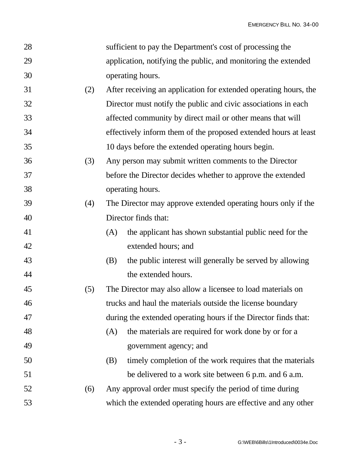| 28 |     |     | sufficient to pay the Department's cost of processing the        |
|----|-----|-----|------------------------------------------------------------------|
| 29 |     |     | application, notifying the public, and monitoring the extended   |
| 30 |     |     | operating hours.                                                 |
| 31 | (2) |     | After receiving an application for extended operating hours, the |
| 32 |     |     | Director must notify the public and civic associations in each   |
| 33 |     |     | affected community by direct mail or other means that will       |
| 34 |     |     | effectively inform them of the proposed extended hours at least  |
| 35 |     |     | 10 days before the extended operating hours begin.               |
| 36 | (3) |     | Any person may submit written comments to the Director           |
| 37 |     |     | before the Director decides whether to approve the extended      |
| 38 |     |     | operating hours.                                                 |
| 39 | (4) |     | The Director may approve extended operating hours only if the    |
| 40 |     |     | Director finds that:                                             |
| 41 |     | (A) | the applicant has shown substantial public need for the          |
| 42 |     |     | extended hours; and                                              |
| 43 |     | (B) | the public interest will generally be served by allowing         |
| 44 |     |     | the extended hours.                                              |
| 45 | (5) |     | The Director may also allow a licensee to load materials on      |
| 46 |     |     | trucks and haul the materials outside the license boundary       |
| 47 |     |     | during the extended operating hours if the Director finds that:  |
| 48 |     | (A) | the materials are required for work done by or for a             |
| 49 |     |     | government agency; and                                           |
| 50 |     | (B) | timely completion of the work requires that the materials        |
| 51 |     |     | be delivered to a work site between 6 p.m. and 6 a.m.            |
| 52 | (6) |     | Any approval order must specify the period of time during        |
| 53 |     |     | which the extended operating hours are effective and any other   |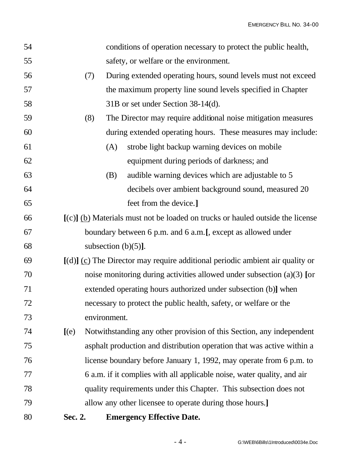| 54 |         | conditions of operation necessary to protect the public health,                  |  |  |
|----|---------|----------------------------------------------------------------------------------|--|--|
| 55 |         | safety, or welfare or the environment.                                           |  |  |
| 56 | (7)     | During extended operating hours, sound levels must not exceed                    |  |  |
| 57 |         | the maximum property line sound levels specified in Chapter                      |  |  |
| 58 |         | 31B or set under Section 38-14(d).                                               |  |  |
| 59 | (8)     | The Director may require additional noise mitigation measures                    |  |  |
| 60 |         | during extended operating hours. These measures may include:                     |  |  |
| 61 |         | strobe light backup warning devices on mobile<br>(A)                             |  |  |
| 62 |         | equipment during periods of darkness; and                                        |  |  |
| 63 |         | audible warning devices which are adjustable to 5<br>(B)                         |  |  |
| 64 |         | decibels over ambient background sound, measured 20                              |  |  |
| 65 |         | feet from the device.]                                                           |  |  |
| 66 |         | $[(c)]$ (b) Materials must not be loaded on trucks or hauled outside the license |  |  |
| 67 |         | boundary between 6 p.m. and 6 a.m. [, except as allowed under                    |  |  |
| 68 |         | subsection $(b)(5)$ ].                                                           |  |  |
| 69 |         | $[(d)]$ (c) The Director may require additional periodic ambient air quality or  |  |  |
| 70 |         | noise monitoring during activities allowed under subsection $(a)(3)$ [or         |  |  |
| 71 |         | extended operating hours authorized under subsection (b)] when                   |  |  |
| 72 |         | necessary to protect the public health, safety, or welfare or the                |  |  |
| 73 |         | environment.                                                                     |  |  |
| 74 | $[$ (e) | Notwithstanding any other provision of this Section, any independent             |  |  |
| 75 |         | asphalt production and distribution operation that was active within a           |  |  |
| 76 |         | license boundary before January 1, 1992, may operate from 6 p.m. to              |  |  |
| 77 |         | 6 a.m. if it complies with all applicable noise, water quality, and air          |  |  |
| 78 |         | quality requirements under this Chapter. This subsection does not                |  |  |
| 79 |         | allow any other licensee to operate during those hours.]                         |  |  |
| 80 | Sec. 2. | <b>Emergency Effective Date.</b>                                                 |  |  |